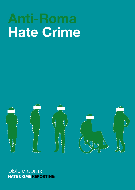# Hate Crime



### OSCE ODIHR **HATE CRIME REPORTING**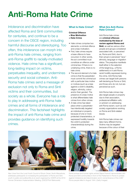## Anti-Roma Hate Crime

Intolerance and discrimination have affected Roma and Sinti communities for centuries, and continue to be a concern in the OSCE region, including harmful discourse and stereotyping. Too often, this intolerance can morph into anti-Roma hate crimes, ranging from anti-Roma graffiti to racially-motivated violence. Hate crime has a significant, long-lasting impact on victims, perpetuates inequality, and undermines security and social cohesion. Anti-Roma hate crimes send a message of exclusion not only to Roma and Sinti victims and their communities, but society as a whole. Everyone has a role to play in addressing anti-Roma hate crimes and all forms of intolerance and discrimination. This factsheet highlights the impact of anti-Roma hate crime and provides guidance on identifying such crimes.

#### What Is Hate Crime?

#### Criminal Offence + Bias Motivation

- = Hate Crime
- Hate crimes comprise two elements: a criminal offence and a bias motivation.
- First, hate crimes require a base offence to have occurred. In other words, the act committed must constitute an offence under criminal law. If there is no underlying crime, there is no hate crime.
- The second element of a hate crime is that the perpetrator must commit the criminal act with a particular bias motive or motives (such as a bias against a victim's disability, religion, ethnicity, colour and/or their gender). The presence of a bias motive is what differentiates hate crimes from other crimes.
- A hate crime has taken place when a perpetrator has intentionally targeted an individual or property because of one or more protected characteristics, or expressed hostility towards the victim's protected characteristic(s) during the crime.

#### What Are Anti-Roma Hate Crimes?

Anti-Roma hate crimes are criminal offences motivated by the bias of racism against Roma and

Sinti, as well as various other people and groups considered associated with, or perceived as, Roma and Sinti, due to their actual or perceived "race," ethnicity, language or migration status. The prejudice manifests itself either in the selection of the target (e.g., a Roma settlement) or in anti-Roma racist hostility expressed during the crime. Anti-Roma hate crimes can target both persons self-declaring as Roma or Sinti, and those who do not, but are perceived as such.

Anti-Roma hate crimes may also target people or property due to their association, professional affiliation with, or activism on addressing anti-Roma racism, such as civil society organizations working on Roma and Sinti-related issues.

Anti-Roma hate crimes can take many different forms. Victims may be targeted because of the colour of their



Alen Umer from the Local Youth Council of Shuto Orizari, North Macedonia, addresses participants on increasing the participation of Roma and Sinti youth in public and political life at an event organized by ODIHR at the 2019 Human Dimension Implementation Meeting. (OSCE/Piotr Markowski)



Roma actress and human rights activist Dijana Pavlović demonstrates with Roma and Sinti communities in front of the Parliament in Rome to protest against intolerance and discrimination and in remembrance of the 2,897 Roma people killed in August 1944. (Getty Images)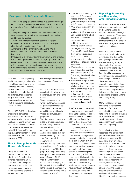#### Examples of Anti-Roma Hate Crimes

- Three Roma people were subjected to sustained beatings, racist slurs, and forced confessions by police officers. One male victim suffered injuries and was hospitalized for ten days.
- A lawyer working on the case of a murdered Roma victim was subjected to racist insults, threatened, blackmailed, and beaten by a group.
- A Roma girl was repeatedly subjected to racist and misogynous insults and threats at school. Consequently, she attempted suicide and left school.
- A memorial to the Roma victims of a World War II concentration camp was vandalized with anti-Roma **inscriptions**
- Inhabitants of a Roma settlement were shot at and attacked with stones, gas and knives by a hate group. Their tent homes were burned down or otherwise destroyed. Police officers present during the attack did not intervene.
- Cars belonging to persons of Roma origin were targeted in an arson attack with Molotov cocktails.

skin, their nationality, speaking the Roma language, or living in a neighbourhood known to be inhabited by Roma. They may also be selected on the basis of multiple identity traits, including, for instance, their gender or religion. Law enforcement is encouraged to examine the multi-dimensional aspects of a victim's identity.

Since 2002, OSCE participating States have committed themselves to address racism, xenophobia, discrimination, and intolerance, and to prevent and respond to hate crimes. These commitments were reiterated in the OSCE Action Plan on Improving the Situation of Roma and Sinti within the OSCE Area, adopted in 2003.

#### How to Recognize Anti-Roma Hate Crimes

There are a number of indicators that can help to identify anti-Roma bias in a potential hate crime. Such "bias indicators" can prompt law enforcement authorities to investigate a crime as an anti-Roma hate crime, enabling a tailored response.

The following questions can help identify anti-Roma hate crimes:

- Do the victims or witnesses perceive the incident to have been motivated by anti-Roma racism?
- Were there comments, written statements, gestures, or graffiti that indicate bias? This can include the use of anti-Roma racist insults, tropes, stereotypes, and prejudices.
- Was the targeted property a place of professional, legal, or cultural significance, such as a Roma or Sinti settlement, a cultural club, and/or other places that may be frequented by individuals from Roma and Sinti communities?
- Was the property previously targeted in an anti-Roma hate incident or crime? Did the property damage involve the deployment of racist epithets against Roma or Sinti?
- Was the victim visibly identifiable as belonging to Roma or Sinti communities? Is the suspect a member of a different ethnic or racial group to that of the victim?
- Does the suspect belong to a hate group? These could include different far-right groups or groups advocating anti-Roma racist intolerance.
- Were drawings or graffiti of symbols, such as a Nazi symbol, a Ku Klux Klan sign, a Celtic Cross, among others, found at the scene of the crime or incident?
- Did the incident occur following or amid political campaigns that scapegoated Roma and Sinti and blamed them for various societal ills, such as crime or unemployment, or being beneficiaries of social welfare schemes?
- Was the victim in or near an area or institution identified with Roma or Sinti (e.g., a Roma neighbourhood) when the incident occurred?
- Was the victim a prominent figure (e.g., a football player, artist or politician), who was known or assumed to be of Roma or Sinti descent?
- Is there any other clear motive? The lack of other motives is also a reason to consider a bias motivation.

Anti-Roma hate crimes should be monitored and recorded as a separate category of crimes. Where a crime is committed with multiple bias motives. each of these biases must be recorded and addressed during investigation and prosecution. Data on anti-Roma hate crimes should be collected and disaggregated by gender to better understand the extent to which they are affected by such crimes, and to identify appropriate measures to counter anti-Roma hate crimes. When investigating and addressing anti-Roma hate crimes, it is important to consider the possible multiple identities of the victim (e.g., religion or gender), as this can have significant ramifications for individual victims and, consequently, for the support they need.

#### Reporting, Preventing and Responding to Anti-Roma Hate Crimes

Anti-Roma hate crimes, like all hate crimes, are under-reported by the victims and underrecorded by the authorities, for numerous reasons. This makes it difficult to obtain both an accurate picture of the problem and adequate legal remedies against such crimes.

Effective access to justice remains a critical challenge for victims, and one that OSCE participating States need to address more vigorously and structurally. Governments have a central role to play in ensuring access to justice, from the initial assessment of victims' needs by police officers to ensuring the provision of relevant protection and support to each victim. Failure to effectively investigate hate crimes – including anti-Roma hate crimes – is known to have a detrimental effect on victims and society at large.

Many civil society groups countering racism against Roma and Sinti have recognized the importance of hate crime monitoring, including as an advocacy tool, and are developing their monitoring capacities through outreach and online reporting.

To be effective, police responses and government policies to counter anti-Roma hate crimes must be evidencebased and draw on official hate crime data, as well as on reports from civil society and international organizations. Increased public awareness of hate crime, hate crime recording by states, measures to encourage reporting by victims, and civil society monitoring and reporting will all help reveal the scope of the problem in more detail, enabling policymakers to identify appropriate responses.